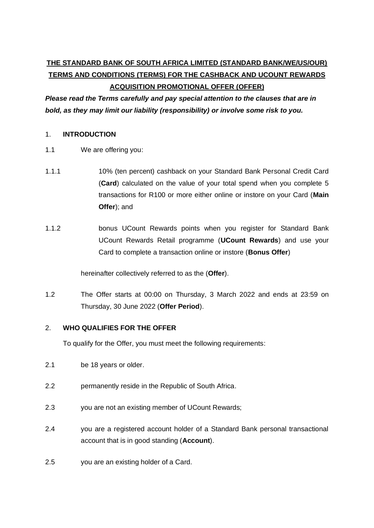# **THE STANDARD BANK OF SOUTH AFRICA LIMITED (STANDARD BANK/WE/US/OUR) TERMS AND CONDITIONS (TERMS) FOR THE CASHBACK AND UCOUNT REWARDS ACQUISITION PROMOTIONAL OFFER (OFFER)**

*Please read the Terms carefully and pay special attention to the clauses that are in bold, as they may limit our liability (responsibility) or involve some risk to you.*

### 1. **INTRODUCTION**

- 1.1 We are offering you:
- 1.1.1 10% (ten percent) cashback on your Standard Bank Personal Credit Card (**Card**) calculated on the value of your total spend when you complete 5 transactions for R100 or more either online or instore on your Card (**Main Offer**); and
- 1.1.2 bonus UCount Rewards points when you register for Standard Bank UCount Rewards Retail programme (**UCount Rewards**) and use your Card to complete a transaction online or instore (**Bonus Offer**)

hereinafter collectively referred to as the (**Offer**).

1.2 The Offer starts at 00:00 on Thursday, 3 March 2022 and ends at 23:59 on Thursday, 30 June 2022 (**Offer Period**).

# 2. **WHO QUALIFIES FOR THE OFFER**

To qualify for the Offer, you must meet the following requirements:

- 2.1 be 18 years or older.
- 2.2 permanently reside in the Republic of South Africa.
- 2.3 you are not an existing member of UCount Rewards;
- 2.4 you are a registered account holder of a Standard Bank personal transactional account that is in good standing (**Account**).
- 2.5 you are an existing holder of a Card.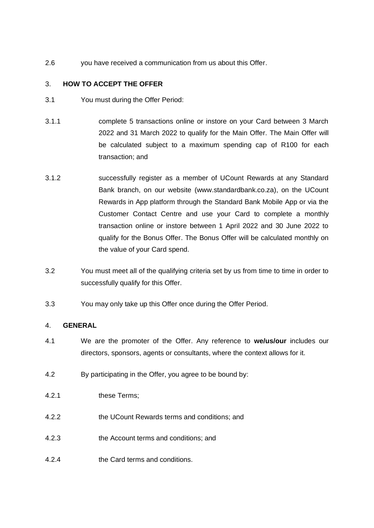2.6 you have received a communication from us about this Offer.

## 3. **HOW TO ACCEPT THE OFFER**

- 3.1 You must during the Offer Period:
- 3.1.1 complete 5 transactions online or instore on your Card between 3 March 2022 and 31 March 2022 to qualify for the Main Offer. The Main Offer will be calculated subject to a maximum spending cap of R100 for each transaction; and
- 3.1.2 successfully register as a member of UCount Rewards at any Standard Bank branch, on our website (www.standardbank.co.za), on the UCount Rewards in App platform through the Standard Bank Mobile App or via the Customer Contact Centre and use your Card to complete a monthly transaction online or instore between 1 April 2022 and 30 June 2022 to qualify for the Bonus Offer. The Bonus Offer will be calculated monthly on the value of your Card spend.
- 3.2 You must meet all of the qualifying criteria set by us from time to time in order to successfully qualify for this Offer.
- 3.3 You may only take up this Offer once during the Offer Period.

#### 4. **GENERAL**

- 4.1 We are the promoter of the Offer. Any reference to **we/us/our** includes our directors, sponsors, agents or consultants, where the context allows for it.
- 4.2 By participating in the Offer, you agree to be bound by:
- 4.2.1 these Terms;
- 4.2.2 the UCount Rewards terms and conditions; and
- 4.2.3 the Account terms and conditions; and
- 4.2.4 the Card terms and conditions.